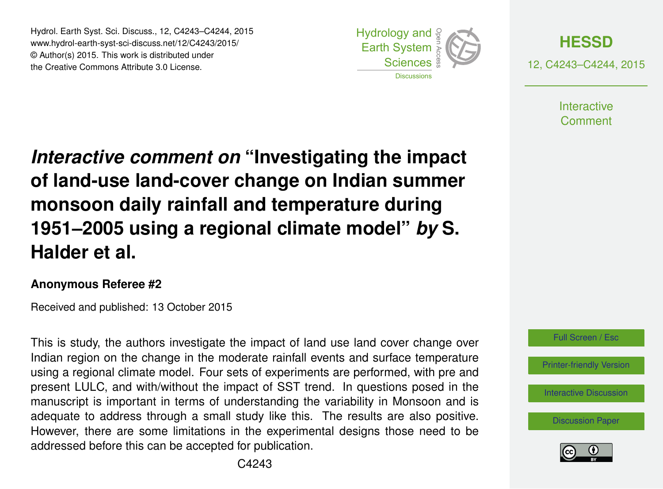Hydrol. Earth Syst. Sci. Discuss., 12, C4243–C4244, 2015 www.hydrol-earth-syst-sci-discuss.net/12/C4243/2015/ © Author(s) 2015. This work is distributed under the Creative Commons Attribute 3.0 License.





**Interactive** Comment

*Interactive comment on* **"Investigating the impact of land-use land-cover change on Indian summer monsoon daily rainfall and temperature during 1951–2005 using a regional climate model"** *by* **S. Halder et al.**

## **Anonymous Referee #2**

Received and published: 13 October 2015

This is study, the authors investigate the impact of land use land cover change over Indian region on the change in the moderate rainfall events and surface temperature using a regional climate model. Four sets of experiments are performed, with pre and present LULC, and with/without the impact of SST trend. In questions posed in the manuscript is important in terms of understanding the variability in Monsoon and is adequate to address through a small study like this. The results are also positive. However, there are some limitations in the experimental designs those need to be addressed before this can be accepted for publication.